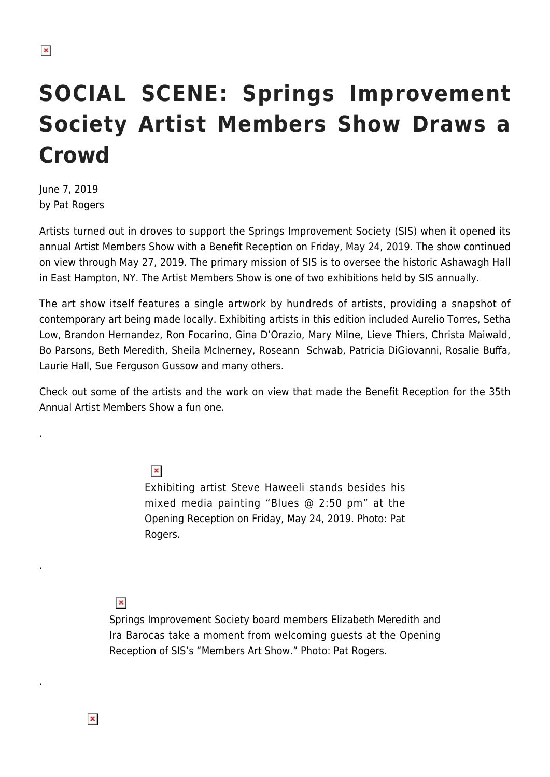# **SOCIAL SCENE: Springs Improvement Society Artist Members Show Draws a Crowd**

June 7, 2019 by Pat Rogers

.

.

.

Artists turned out in droves to support the Springs Improvement Society (SIS) when it opened its annual Artist Members Show with a Benefit Reception on Friday, May 24, 2019. The show continued on view through May 27, 2019. The primary mission of SIS is to oversee the historic Ashawagh Hall in East Hampton, NY. The Artist Members Show is one of two exhibitions held by SIS annually.

The art show itself features a single artwork by hundreds of artists, providing a snapshot of contemporary art being made locally. Exhibiting artists in this edition included Aurelio Torres, Setha Low, Brandon Hernandez, Ron Focarino, Gina D'Orazio, Mary Milne, Lieve Thiers, Christa Maiwald, Bo Parsons, Beth Meredith, Sheila McInerney, Roseann Schwab, Patricia DiGiovanni, Rosalie Buffa, Laurie Hall, Sue Ferguson Gussow and many others.

Check out some of the artists and the work on view that made the Benefit Reception for the 35th Annual Artist Members Show a fun one.

 $\pmb{\times}$ 

Exhibiting artist Steve Haweeli stands besides his mixed media painting "Blues @ 2:50 pm" at the Opening Reception on Friday, May 24, 2019. Photo: Pat Rogers.

 $\pmb{\times}$ 

 $\pmb{\times}$ 

Springs Improvement Society board members Elizabeth Meredith and Ira Barocas take a moment from welcoming guests at the Opening Reception of SIS's "Members Art Show." Photo: Pat Rogers.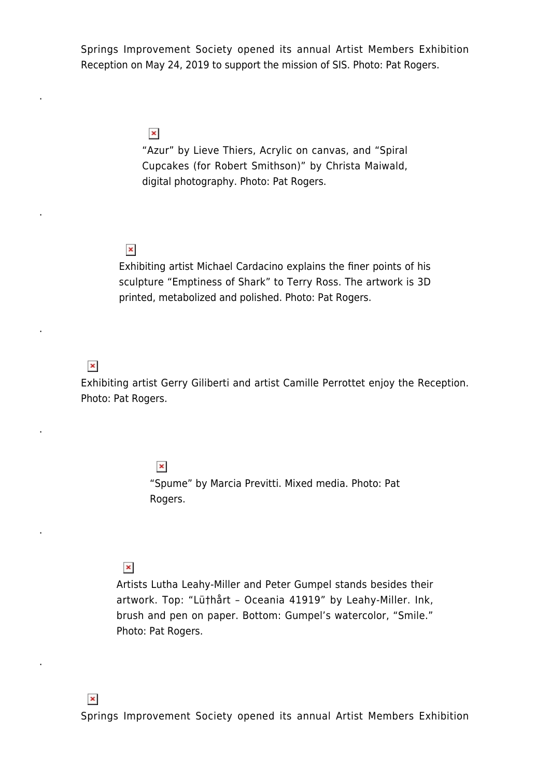Springs Improvement Society opened its annual Artist Members Exhibition Reception on May 24, 2019 to support the mission of SIS. Photo: Pat Rogers.

> $\pmb{\times}$ "Azur" by Lieve Thiers, Acrylic on canvas, and "Spiral Cupcakes (for Robert Smithson)" by Christa Maiwald, digital photography. Photo: Pat Rogers.

## $\pmb{\times}$

Exhibiting artist Michael Cardacino explains the finer points of his sculpture "Emptiness of Shark" to Terry Ross. The artwork is 3D printed, metabolized and polished. Photo: Pat Rogers.

# $\pmb{\times}$

.

.

.

.

.

.

Exhibiting artist Gerry Giliberti and artist Camille Perrottet enjoy the Reception. Photo: Pat Rogers.

#### $\pmb{\times}$

"Spume" by Marcia Previtti. Mixed media. Photo: Pat Rogers.

### $\pmb{\times}$

Artists Lutha Leahy-Miller and Peter Gumpel stands besides their artwork. Top: "Lü†hårt – Oceania 41919" by Leahy-Miller. Ink, brush and pen on paper. Bottom: Gumpel's watercolor, "Smile." Photo: Pat Rogers.

Springs Improvement Society opened its annual Artist Members Exhibition